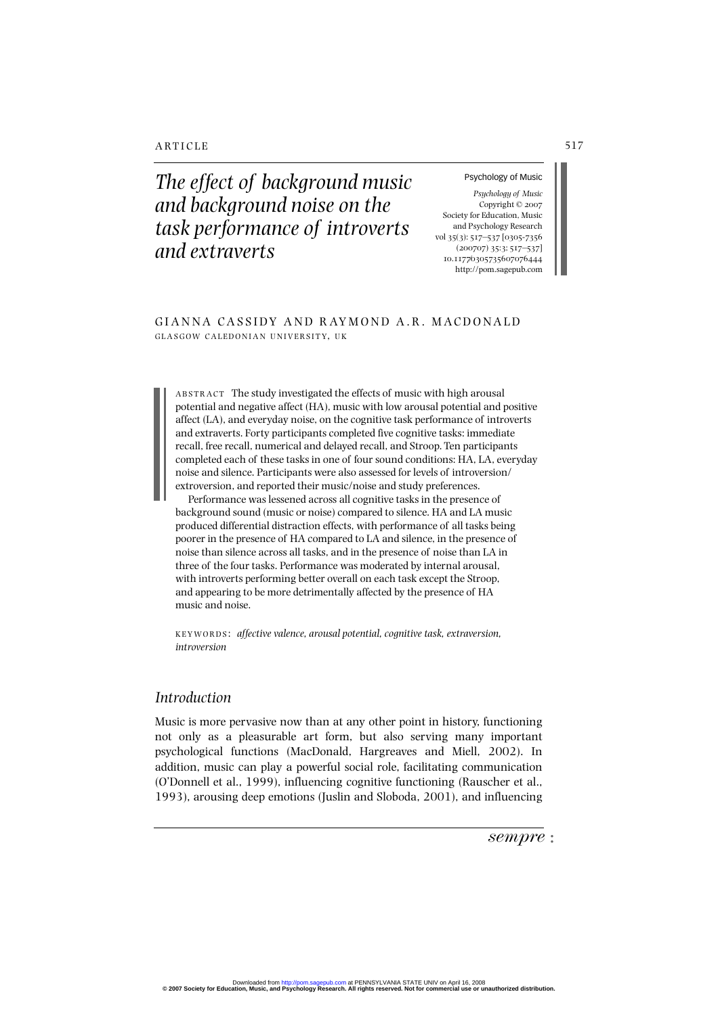# *The effect of background music and background noise on the task performance of introverts and extraverts*

#### Psychology of Music

*Psychology of Music* Copyright © 2007 Society for Education, Music and Psychology Research vol 35(3): 517‒537 [0305-7356  $(200707)$  35:3; 517–537] 10.1177⁄0305735607076444 http://pom.sagepub.com

## GIANNA CASSIDY AND RAYMOND A.R. MACDONALD GLASGOW CALEDONIAN UNIVERSITY, UK

ABSTRACT The study investigated the effects of music with high arousal potential and negative affect (HA), music with low arousal potential and positive affect (LA), and everyday noise, on the cognitive task performance of introverts and extraverts. Forty participants completed five cognitive tasks: immediate recall, free recall, numerical and delayed recall, and Stroop. Ten participants completed each of these tasks in one of four sound conditions: HA, LA, everyday noise and silence. Participants were also assessed for levels of introversion/ extroversion, and reported their music/noise and study preferences.

Performance was lessened across all cognitive tasks in the presence of background sound (music or noise) compared to silence. HA and LA music produced differential distraction effects, with performance of all tasks being poorer in the presence of HA compared to LA and silence, in the presence of noise than silence across all tasks, and in the presence of noise than LA in three of the four tasks. Performance was moderated by internal arousal, with introverts performing better overall on each task except the Stroop, and appearing to be more detrimentally affected by the presence of HA music and noise.

KEYWORDS : *affective valence, arousal potential, cognitive task, extraversion, introversion*

## *Introduction*

Music is more pervasive now than at any other point in history, functioning not only as a pleasurable art form, but also serving many important psychological functions (MacDonald, Hargreaves and Miell, 2002). In addition, music can play a powerful social role, facilitating communication (O'Donnell et al., 1999), influencing cognitive functioning (Rauscher et al., 1993), arousing deep emotions (Juslin and Sloboda, 2001), and influencing

*sempre* :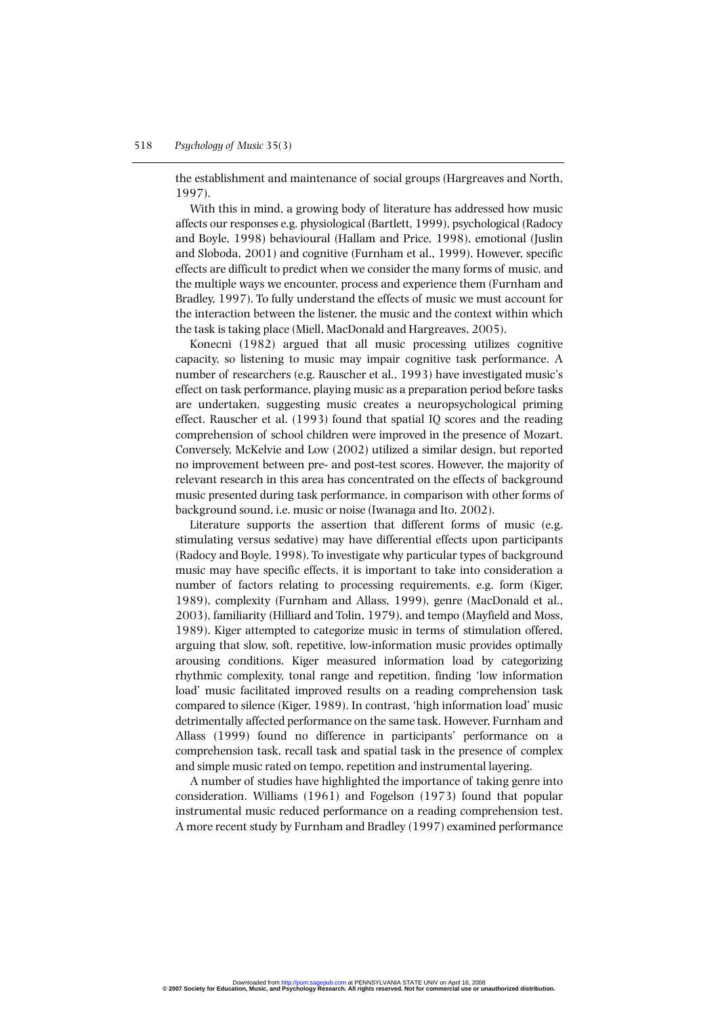the establishment and maintenance of social groups (Hargreaves and North, 1997).

With this in mind, a growing body of literature has addressed how music affects our responses e.g. physiological (Bartlett, 1999), psychological (Radocy and Boyle, 1998) behavioural (Hallam and Price, 1998), emotional (Juslin and Sloboda, 2001) and cognitive (Furnham et al., 1999). However, specific effects are difficult to predict when we consider the many forms of music, and the multiple ways we encounter, process and experience them (Furnham and Bradley, 1997). To fully understand the effects of music we must account for the interaction between the listener, the music and the context within which the task is taking place (Miell, MacDonald and Hargreaves, 2005).

Konecni (1982) argued that all music processing utilizes cognitive capacity, so listening to music may impair cognitive task performance. A number of researchers (e.g. Rauscher et al., 1993) have investigated music's effect on task performance, playing music as a preparation period before tasks are undertaken, suggesting music creates a neuropsychological priming effect. Rauscher et al. (1993) found that spatial IQ scores and the reading comprehension of school children were improved in the presence of Mozart. Conversely, McKelvie and Low (2002) utilized a similar design, but reported no improvement between pre- and post-test scores. However, the majority of relevant research in this area has concentrated on the effects of background music presented during task performance, in comparison with other forms of background sound, i.e. music or noise (Iwanaga and Ito, 2002).

Literature supports the assertion that different forms of music (e.g. stimulating versus sedative) may have differential effects upon participants (Radocy and Boyle, 1998). To investigate why particular types of background music may have specific effects, it is important to take into consideration a number of factors relating to processing requirements, e.g. form (Kiger, 1989), complexity (Furnham and Allass, 1999), genre (MacDonald et al., 2003), familiarity (Hilliard and Tolin, 1979), and tempo (Mayfield and Moss, 1989). Kiger attempted to categorize music in terms of stimulation offered, arguing that slow, soft, repetitive, low-information music provides optimally arousing conditions. Kiger measured information load by categorizing rhythmic complexity, tonal range and repetition, finding 'low information load' music facilitated improved results on a reading comprehension task compared to silence (Kiger, 1989). In contrast, 'high information load' music detrimentally affected performance on the same task. However, Furnham and Allass (1999) found no difference in participants' performance on a comprehension task, recall task and spatial task in the presence of complex and simple music rated on tempo, repetition and instrumental layering.

A number of studies have highlighted the importance of taking genre into consideration. Williams (1961) and Fogelson (1973) found that popular instrumental music reduced performance on a reading comprehension test. A more recent study by Furnham and Bradley (1997) examined performance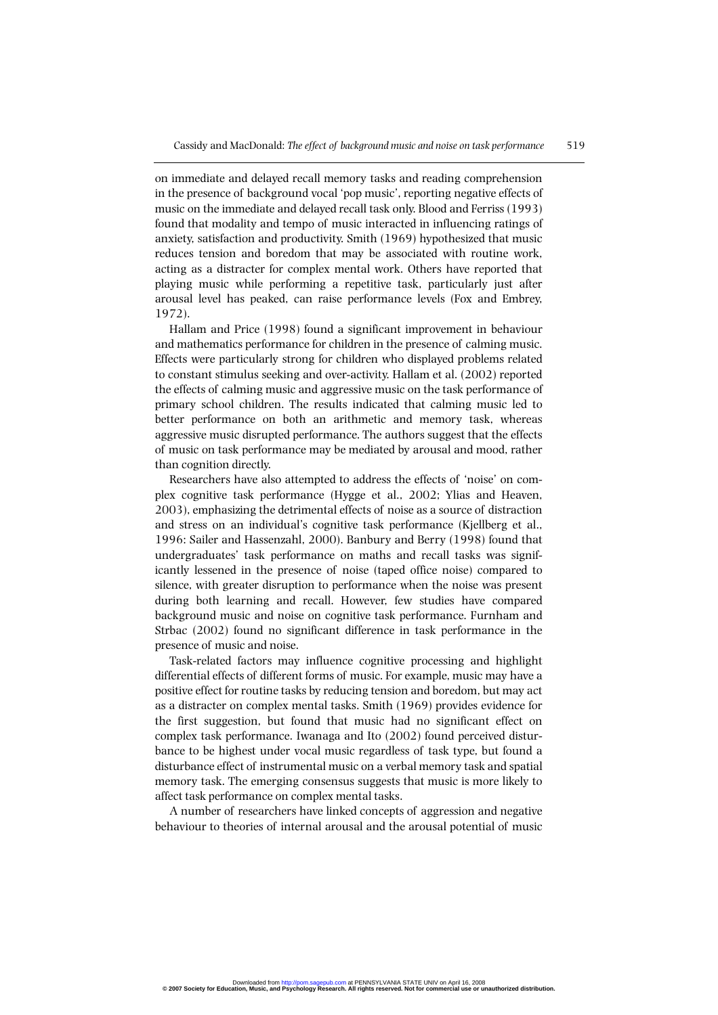on immediate and delayed recall memory tasks and reading comprehension in the presence of background vocal 'pop music', reporting negative effects of music on the immediate and delayed recall task only. Blood and Ferriss (1993) found that modality and tempo of music interacted in influencing ratings of anxiety, satisfaction and productivity. Smith (1969) hypothesized that music reduces tension and boredom that may be associated with routine work, acting as a distracter for complex mental work. Others have reported that playing music while performing a repetitive task, particularly just after arousal level has peaked, can raise performance levels (Fox and Embrey, 1972).

Hallam and Price (1998) found a significant improvement in behaviour and mathematics performance for children in the presence of calming music. Effects were particularly strong for children who displayed problems related to constant stimulus seeking and over-activity. Hallam et al. (2002) reported the effects of calming music and aggressive music on the task performance of primary school children. The results indicated that calming music led to better performance on both an arithmetic and memory task, whereas aggressive music disrupted performance. The authors suggest that the effects of music on task performance may be mediated by arousal and mood, rather than cognition directly.

Researchers have also attempted to address the effects of 'noise' on complex cognitive task performance (Hygge et al., 2002; Ylias and Heaven, 2003), emphasizing the detrimental effects of noise as a source of distraction and stress on an individual's cognitive task performance (Kjellberg et al., 1996: Sailer and Hassenzahl, 2000). Banbury and Berry (1998) found that undergraduates' task performance on maths and recall tasks was significantly lessened in the presence of noise (taped office noise) compared to silence, with greater disruption to performance when the noise was present during both learning and recall. However, few studies have compared background music and noise on cognitive task performance. Furnham and Strbac (2002) found no significant difference in task performance in the presence of music and noise.

Task-related factors may influence cognitive processing and highlight differential effects of different forms of music. For example, music may have a positive effect for routine tasks by reducing tension and boredom, but may act as a distracter on complex mental tasks. Smith (1969) provides evidence for the first suggestion, but found that music had no significant effect on complex task performance. Iwanaga and Ito (2002) found perceived disturbance to be highest under vocal music regardless of task type, but found a disturbance effect of instrumental music on a verbal memory task and spatial memory task. The emerging consensus suggests that music is more likely to affect task performance on complex mental tasks.

A number of researchers have linked concepts of aggression and negative behaviour to theories of internal arousal and the arousal potential of music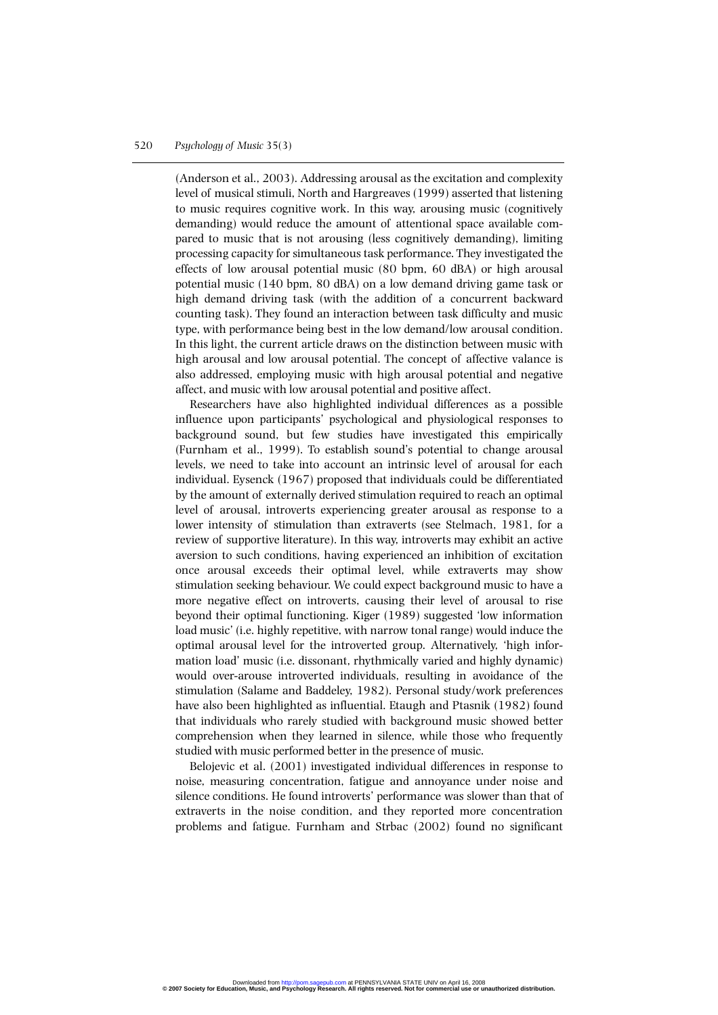(Anderson et al., 2003). Addressing arousal as the excitation and complexity level of musical stimuli, North and Hargreaves (1999) asserted that listening to music requires cognitive work. In this way, arousing music (cognitively demanding) would reduce the amount of attentional space available compared to music that is not arousing (less cognitively demanding), limiting processing capacity for simultaneous task performance. They investigated the effects of low arousal potential music (80 bpm, 60 dBA) or high arousal potential music (140 bpm, 80 dBA) on a low demand driving game task or high demand driving task (with the addition of a concurrent backward counting task). They found an interaction between task difficulty and music type, with performance being best in the low demand/low arousal condition. In this light, the current article draws on the distinction between music with high arousal and low arousal potential. The concept of affective valance is also addressed, employing music with high arousal potential and negative affect, and music with low arousal potential and positive affect.

Researchers have also highlighted individual differences as a possible influence upon participants' psychological and physiological responses to background sound, but few studies have investigated this empirically (Furnham et al., 1999). To establish sound's potential to change arousal levels, we need to take into account an intrinsic level of arousal for each individual. Eysenck (1967) proposed that individuals could be differentiated by the amount of externally derived stimulation required to reach an optimal level of arousal, introverts experiencing greater arousal as response to a lower intensity of stimulation than extraverts (see Stelmach, 1981, for a review of supportive literature). In this way, introverts may exhibit an active aversion to such conditions, having experienced an inhibition of excitation once arousal exceeds their optimal level, while extraverts may show stimulation seeking behaviour. We could expect background music to have a more negative effect on introverts, causing their level of arousal to rise beyond their optimal functioning. Kiger (1989) suggested 'low information load music' (i.e. highly repetitive, with narrow tonal range) would induce the optimal arousal level for the introverted group. Alternatively, 'high information load' music (i.e. dissonant, rhythmically varied and highly dynamic) would over-arouse introverted individuals, resulting in avoidance of the stimulation (Salame and Baddeley, 1982). Personal study/work preferences have also been highlighted as influential. Etaugh and Ptasnik (1982) found that individuals who rarely studied with background music showed better comprehension when they learned in silence, while those who frequently studied with music performed better in the presence of music.

Belojevic et al. (2001) investigated individual differences in response to noise, measuring concentration, fatigue and annoyance under noise and silence conditions. He found introverts' performance was slower than that of extraverts in the noise condition, and they reported more concentration problems and fatigue. Furnham and Strbac (2002) found no significant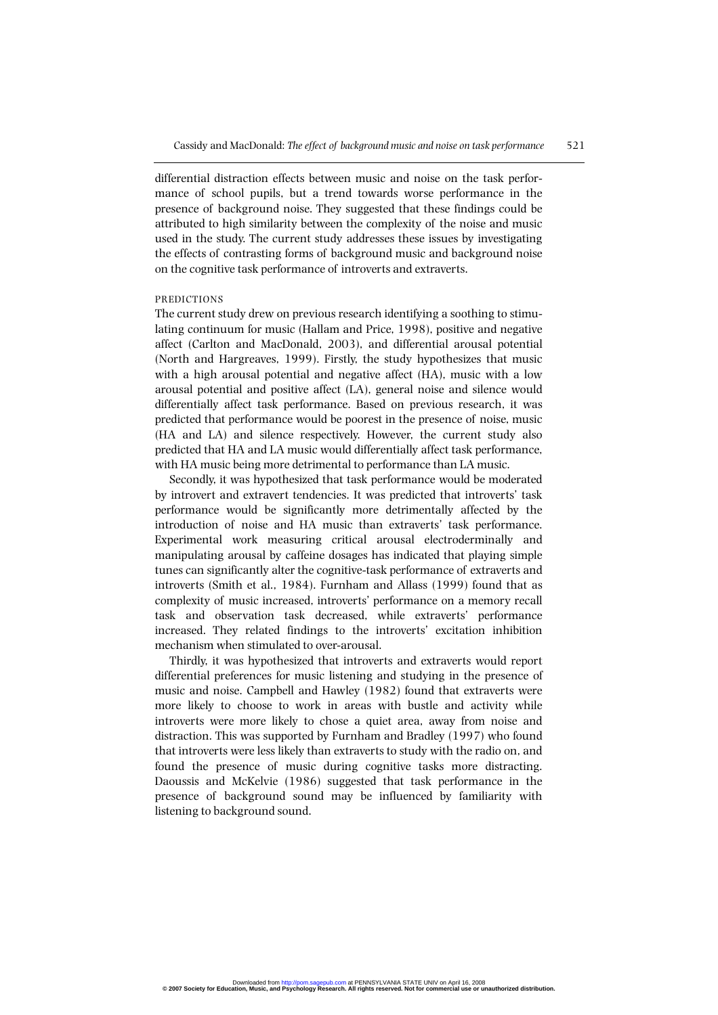differential distraction effects between music and noise on the task performance of school pupils, but a trend towards worse performance in the presence of background noise. They suggested that these findings could be attributed to high similarity between the complexity of the noise and music used in the study. The current study addresses these issues by investigating the effects of contrasting forms of background music and background noise on the cognitive task performance of introverts and extraverts.

## PREDICTIONS

The current study drew on previous research identifying a soothing to stimulating continuum for music (Hallam and Price, 1998), positive and negative affect (Carlton and MacDonald, 2003), and differential arousal potential (North and Hargreaves, 1999). Firstly, the study hypothesizes that music with a high arousal potential and negative affect (HA), music with a low arousal potential and positive affect (LA), general noise and silence would differentially affect task performance. Based on previous research, it was predicted that performance would be poorest in the presence of noise, music (HA and LA) and silence respectively. However, the current study also predicted that HA and LA music would differentially affect task performance, with HA music being more detrimental to performance than LA music.

Secondly, it was hypothesized that task performance would be moderated by introvert and extravert tendencies. It was predicted that introverts' task performance would be significantly more detrimentally affected by the introduction of noise and HA music than extraverts' task performance. Experimental work measuring critical arousal electroderminally and manipulating arousal by caffeine dosages has indicated that playing simple tunes can significantly alter the cognitive-task performance of extraverts and introverts (Smith et al., 1984). Furnham and Allass (1999) found that as complexity of music increased, introverts' performance on a memory recall task and observation task decreased, while extraverts' performance increased. They related findings to the introverts' excitation inhibition mechanism when stimulated to over-arousal.

Thirdly, it was hypothesized that introverts and extraverts would report differential preferences for music listening and studying in the presence of music and noise. Campbell and Hawley (1982) found that extraverts were more likely to choose to work in areas with bustle and activity while introverts were more likely to chose a quiet area, away from noise and distraction. This was supported by Furnham and Bradley (1997) who found that introverts were less likely than extraverts to study with the radio on, and found the presence of music during cognitive tasks more distracting. Daoussis and McKelvie (1986) suggested that task performance in the presence of background sound may be influenced by familiarity with listening to background sound.

Downloaded from<http://pom.sagepub.com>at PENNSYLVANIA STATE UNIV on April 16, 2008<br>C 2007 Society for Education, Music, and Psychology Research. All rights reserved. Not for commercial use or unauthorized distribution.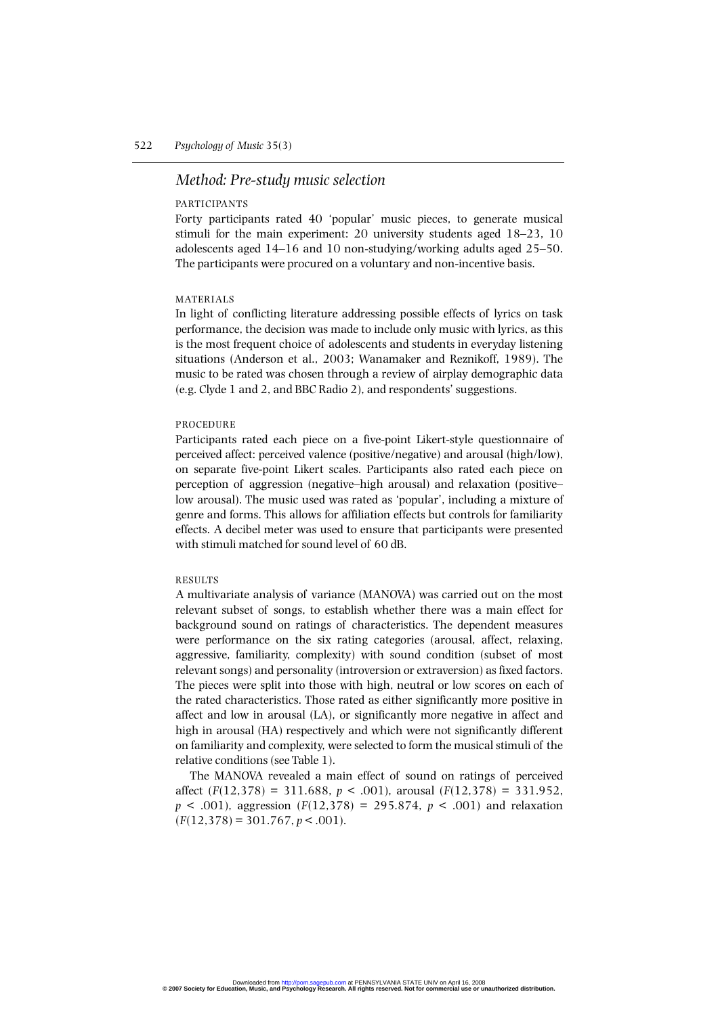# *Method: Pre-study music selection*

## PARTICIPANTS

Forty participants rated 40 'popular' music pieces, to generate musical stimuli for the main experiment: 20 university students aged 18–23, 10 adolescents aged 14–16 and 10 non-studying/working adults aged 25–50. The participants were procured on a voluntary and non-incentive basis.

## MATERIALS

In light of conflicting literature addressing possible effects of lyrics on task performance, the decision was made to include only music with lyrics, as this is the most frequent choice of adolescents and students in everyday listening situations (Anderson et al., 2003; Wanamaker and Reznikoff, 1989). The music to be rated was chosen through a review of airplay demographic data (e.g. Clyde 1 and 2, and BBC Radio 2), and respondents' suggestions.

## PROCEDURE

Participants rated each piece on a five-point Likert-style questionnaire of perceived affect: perceived valence (positive/negative) and arousal (high/low), on separate five-point Likert scales. Participants also rated each piece on perception of aggression (negative–high arousal) and relaxation (positive– low arousal). The music used was rated as 'popular', including a mixture of genre and forms. This allows for affiliation effects but controls for familiarity effects. A decibel meter was used to ensure that participants were presented with stimuli matched for sound level of 60 dB.

## RESULTS

A multivariate analysis of variance (MANOVA) was carried out on the most relevant subset of songs, to establish whether there was a main effect for background sound on ratings of characteristics. The dependent measures were performance on the six rating categories (arousal, affect, relaxing, aggressive, familiarity, complexity) with sound condition (subset of most relevant songs) and personality (introversion or extraversion) as fixed factors. The pieces were split into those with high, neutral or low scores on each of the rated characteristics. Those rated as either significantly more positive in affect and low in arousal (LA), or significantly more negative in affect and high in arousal (HA) respectively and which were not significantly different on familiarity and complexity, were selected to form the musical stimuli of the relative conditions (see Table 1).

The MANOVA revealed a main effect of sound on ratings of perceived affect  $(F(12,378) = 311.688, p < .001)$ , arousal  $(F(12,378) = 331.952$ , *p* < .001), aggression (*F*(12,378) = 295.874, *p* < .001) and relaxation  $(F(12,378) = 301.767, p < .001).$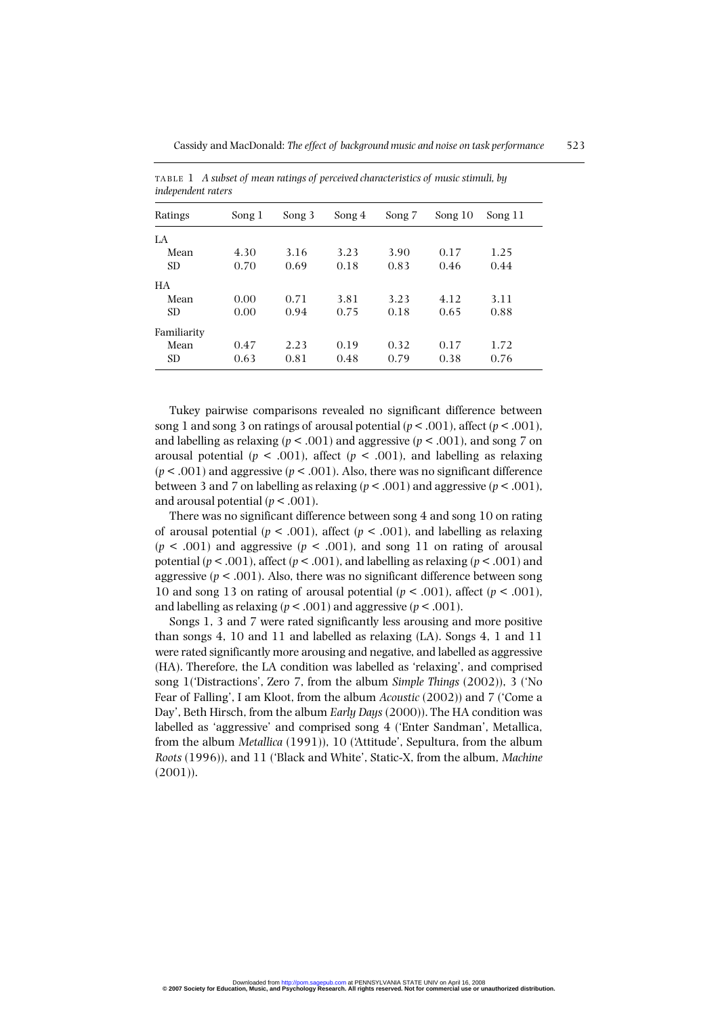| Ratings        | Song 1 | Song 3 | Song 4 | Song 7 | Song $10$ | Song 11 |  |
|----------------|--------|--------|--------|--------|-----------|---------|--|
| LA             |        |        |        |        |           |         |  |
| Mean           | 4.30   | 3.16   | 3.23   | 3.90   | 0.17      | 1.25    |  |
| SD.            | 0.70   | 0.69   | 0.18   | 0.83   | 0.46      | 0.44    |  |
| HA.            |        |        |        |        |           |         |  |
| Mean           | 0.00   | 0.71   | 3.81   | 3.23   | 4.12      | 3.11    |  |
| SD.            | 0.00   | 0.94   | 0.75   | 0.18   | 0.65      | 0.88    |  |
| Familiarity    |        |        |        |        |           |         |  |
| Mean           | 0.47   | 2.23   | 0.19   | 0.32   | 0.17      | 1.72    |  |
| SD <sub></sub> | 0.63   | 0.81   | 0.48   | 0.79   | 0.38      | 0.76    |  |

TABLE 1 *A subset of mean ratings of perceived characteristics of music stimuli, by independent raters*

Tukey pairwise comparisons revealed no significant difference between song 1 and song 3 on ratings of arousal potential  $(p < .001)$ , affect  $(p < .001)$ , and labelling as relaxing (*p* < .001) and aggressive (*p* < .001), and song 7 on arousal potential ( $p < .001$ ), affect ( $p < .001$ ), and labelling as relaxing  $(p < .001)$  and aggressive  $(p < .001)$ . Also, there was no significant difference between 3 and 7 on labelling as relaxing (*p* < .001) and aggressive (*p* < .001), and arousal potential ( $p < .001$ ).

There was no significant difference between song 4 and song 10 on rating of arousal potential ( $p < .001$ ), affect ( $p < .001$ ), and labelling as relaxing  $(p \leq .001)$  and aggressive  $(p \leq .001)$ , and song 11 on rating of arousal potential ( $p < .001$ ), affect ( $p < .001$ ), and labelling as relaxing ( $p < .001$ ) and aggressive ( $p < .001$ ). Also, there was no significant difference between song 10 and song 13 on rating of arousal potential  $(p < .001)$ , affect  $(p < .001)$ , and labelling as relaxing ( $p < .001$ ) and aggressive ( $p < .001$ ).

Songs 1, 3 and 7 were rated significantly less arousing and more positive than songs 4, 10 and 11 and labelled as relaxing (LA). Songs 4, 1 and 11 were rated significantly more arousing and negative, and labelled as aggressive (HA). Therefore, the LA condition was labelled as 'relaxing', and comprised song 1('Distractions', Zero 7, from the album *Simple Things* (2002)), 3 ('No Fear of Falling', I am Kloot, from the album *Acoustic* (2002)) and 7 ('Come a Day', Beth Hirsch, from the album *Early Days* (2000)). The HA condition was labelled as 'aggressive' and comprised song 4 ('Enter Sandman', Metallica, from the album *Metallica* (1991)), 10 ('Attitude', Sepultura, from the album *Roots* (1996)), and 11 ('Black and White', Static-X, from the album, *Machine* (2001)).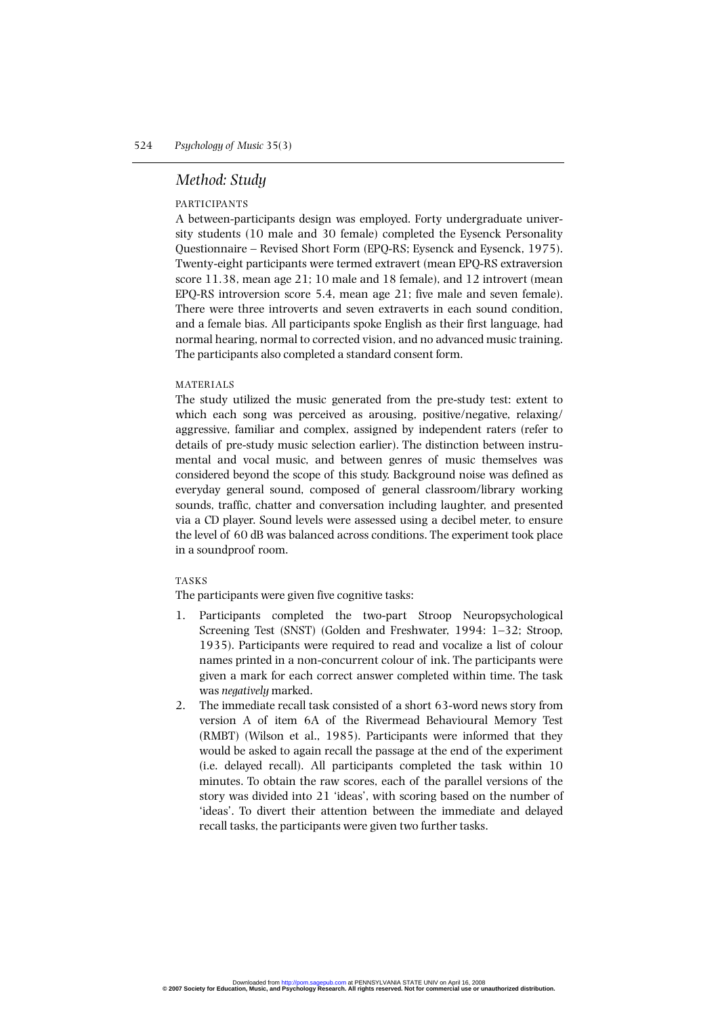# *Method: Study*

## PARTICIPANTS

A between-participants design was employed. Forty undergraduate university students (10 male and 30 female) completed the Eysenck Personality Questionnaire – Revised Short Form (EPQ-RS; Eysenck and Eysenck, 1975). Twenty-eight participants were termed extravert (mean EPQ-RS extraversion score 11.38, mean age 21; 10 male and 18 female), and 12 introvert (mean EPQ-RS introversion score 5.4, mean age 21; five male and seven female). There were three introverts and seven extraverts in each sound condition, and a female bias. All participants spoke English as their first language, had normal hearing, normal to corrected vision, and no advanced music training. The participants also completed a standard consent form.

#### MATERIALS

The study utilized the music generated from the pre-study test: extent to which each song was perceived as arousing, positive/negative, relaxing/ aggressive, familiar and complex, assigned by independent raters (refer to details of pre-study music selection earlier). The distinction between instrumental and vocal music, and between genres of music themselves was considered beyond the scope of this study. Background noise was defined as everyday general sound, composed of general classroom/library working sounds, traffic, chatter and conversation including laughter, and presented via a CD player. Sound levels were assessed using a decibel meter, to ensure the level of 60 dB was balanced across conditions. The experiment took place in a soundproof room.

## TASKS

The participants were given five cognitive tasks:

- 1. Participants completed the two-part Stroop Neuropsychological Screening Test (SNST) (Golden and Freshwater, 1994: 1–32; Stroop, 1935). Participants were required to read and vocalize a list of colour names printed in a non-concurrent colour of ink. The participants were given a mark for each correct answer completed within time. The task was *negatively* marked.
- 2. The immediate recall task consisted of a short 63-word news story from version A of item 6A of the Rivermead Behavioural Memory Test (RMBT) (Wilson et al., 1985). Participants were informed that they would be asked to again recall the passage at the end of the experiment (i.e. delayed recall). All participants completed the task within 10 minutes. To obtain the raw scores, each of the parallel versions of the story was divided into 21 'ideas', with scoring based on the number of 'ideas'. To divert their attention between the immediate and delayed recall tasks, the participants were given two further tasks.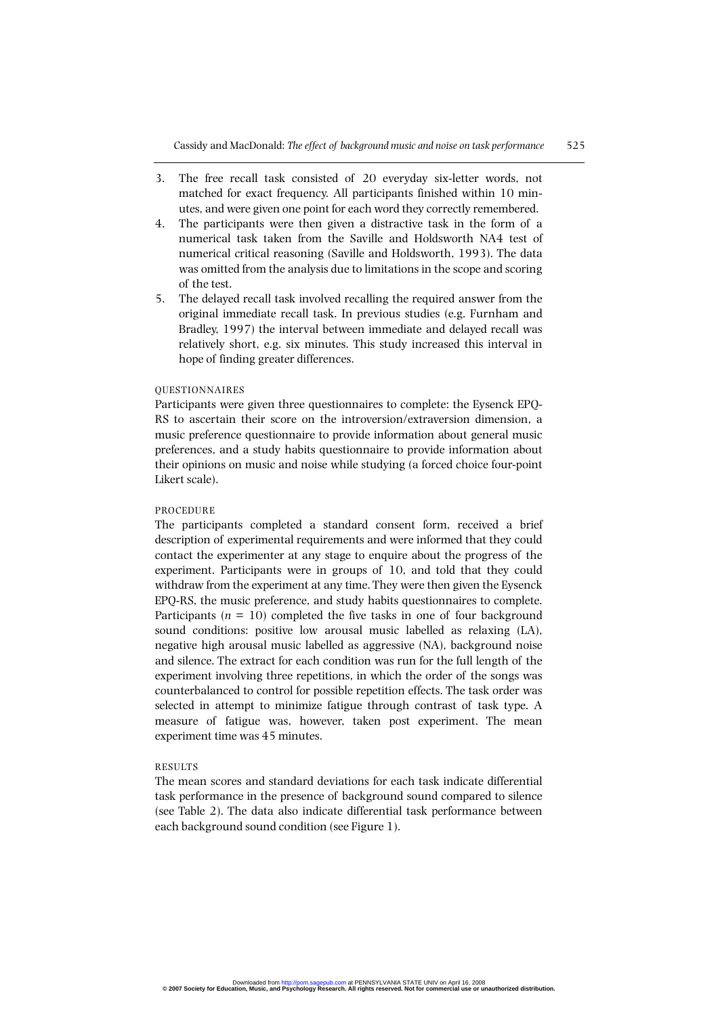- 3. The free recall task consisted of 20 everyday six-letter words, not matched for exact frequency. All participants finished within 10 minutes, and were given one point for each word they correctly remembered.
- 4. The participants were then given a distractive task in the form of a numerical task taken from the Saville and Holdsworth NA4 test of numerical critical reasoning (Saville and Holdsworth, 1993). The data was omitted from the analysis due to limitations in the scope and scoring of the test.
- 5. The delayed recall task involved recalling the required answer from the original immediate recall task. In previous studies (e.g. Furnham and Bradley, 1997) the interval between immediate and delayed recall was relatively short, e.g. six minutes. This study increased this interval in hope of finding greater differences.

## QUESTIONNAIRES

Participants were given three questionnaires to complete: the Eysenck EPQ-RS to ascertain their score on the introversion/extraversion dimension, a music preference questionnaire to provide information about general music preferences, and a study habits questionnaire to provide information about their opinions on music and noise while studying (a forced choice four-point Likert scale).

#### PROCEDURE

The participants completed a standard consent form, received a brief description of experimental requirements and were informed that they could contact the experimenter at any stage to enquire about the progress of the experiment. Participants were in groups of 10, and told that they could withdraw from the experiment at any time. They were then given the Eysenck EPQ-RS, the music preference, and study habits questionnaires to complete. Participants  $(n = 10)$  completed the five tasks in one of four background sound conditions: positive low arousal music labelled as relaxing (LA), negative high arousal music labelled as aggressive (NA), background noise and silence. The extract for each condition was run for the full length of the experiment involving three repetitions, in which the order of the songs was counterbalanced to control for possible repetition effects. The task order was selected in attempt to minimize fatigue through contrast of task type. A measure of fatigue was, however, taken post experiment. The mean experiment time was 45 minutes.

### RESULTS

The mean scores and standard deviations for each task indicate differential task performance in the presence of background sound compared to silence (see Table 2). The data also indicate differential task performance between each background sound condition (see Figure 1).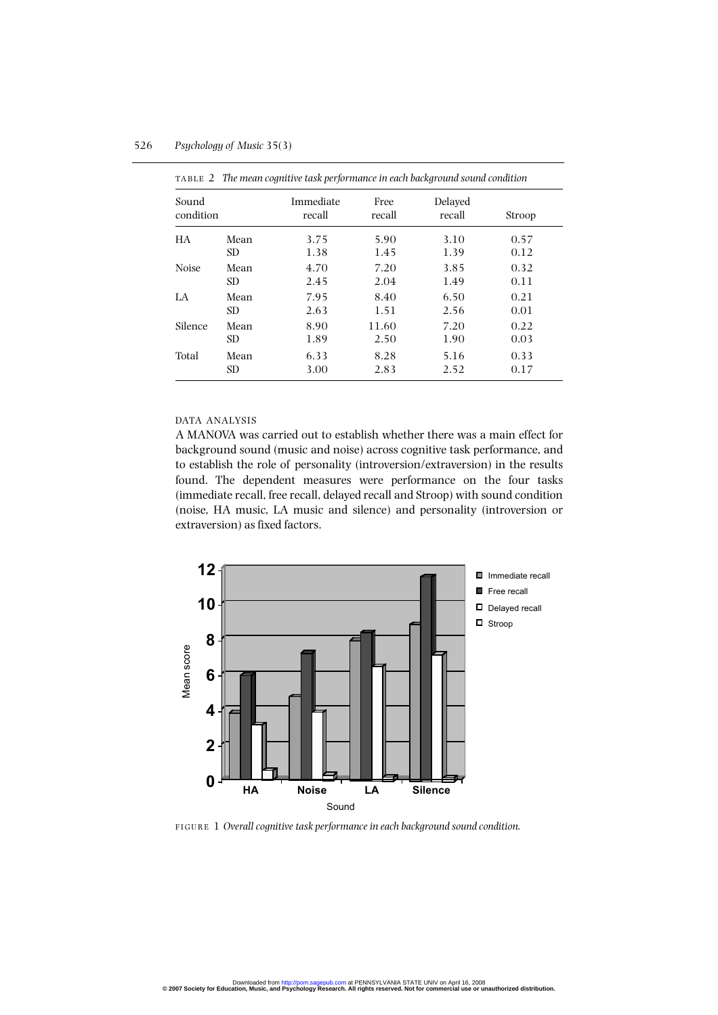| $\pm$ 2 $\pm$ 1110 теан содните шък регрі танке ні еасн раскутоина бойна сонаціон |             |                     |                |                   |              |  |  |  |
|-----------------------------------------------------------------------------------|-------------|---------------------|----------------|-------------------|--------------|--|--|--|
| Sound<br>condition                                                                |             | Immediate<br>recall | Free<br>recall | Delayed<br>recall | Stroop       |  |  |  |
| HА                                                                                | Mean<br>SD. | 3.75<br>1.38        | 5.90<br>1.45   | 3.10<br>1.39      | 0.57<br>0.12 |  |  |  |
| Noise                                                                             | Mean<br>SD. | 4.70<br>2.45        | 7.20<br>2.04   | 3.85<br>1.49      | 0.32<br>0.11 |  |  |  |
| LA                                                                                | Mean<br>SD. | 7.95<br>2.63        | 8.40<br>1.51   | 6.50<br>2.56      | 0.21<br>0.01 |  |  |  |
| Silence                                                                           | Mean<br>SD. | 8.90<br>1.89        | 11.60<br>2.50  | 7.20<br>1.90      | 0.22<br>0.03 |  |  |  |
| Total                                                                             | Mean<br>SD. | 6.33<br>3.00        | 8.28<br>2.83   | 5.16<br>2.52      | 0.33<br>0.17 |  |  |  |

TABLE 2 *The mean cognitive task performance in each background sound condition*

## DATA ANALYSIS

A MANOVA was carried out to establish whether there was a main effect for background sound (music and noise) across cognitive task performance, and to establish the role of personality (introversion/extraversion) in the results found. The dependent measures were performance on the four tasks (immediate recall, free recall, delayed recall and Stroop) with sound condition (noise, HA music, LA music and silence) and personality (introversion or extraversion) as fixed factors.



FIGURE 1 *Overall cognitive task performance in each background sound condition.*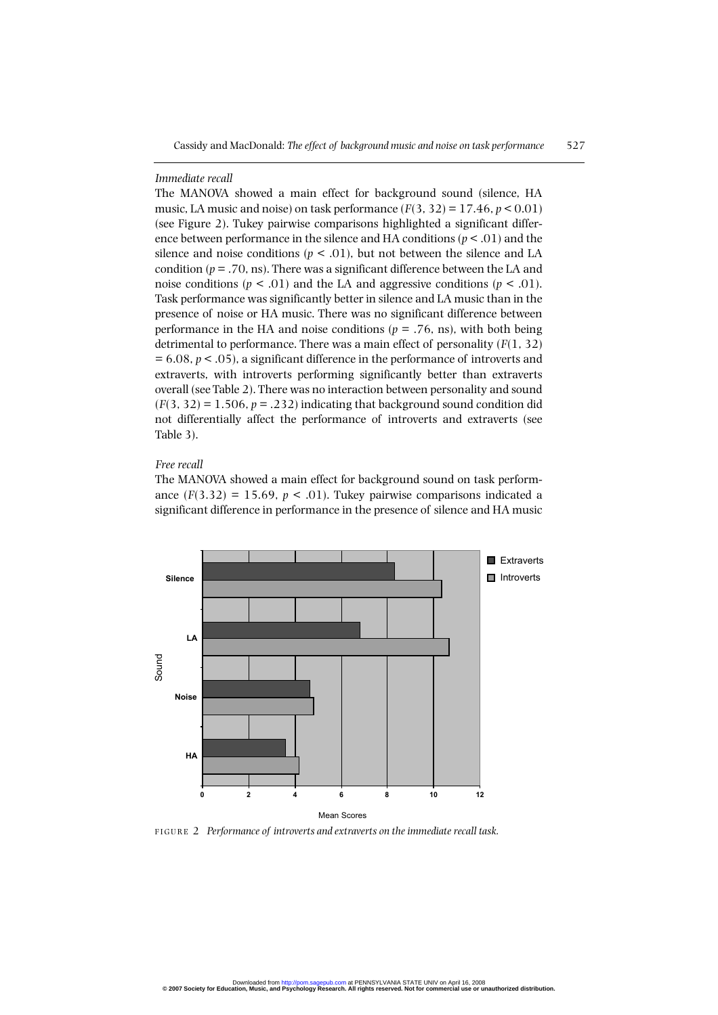#### *Immediate recall*

The MANOVA showed a main effect for background sound (silence, HA music, LA music and noise) on task performance  $(F(3, 32) = 17.46, p < 0.01)$ (see Figure 2). Tukey pairwise comparisons highlighted a significant difference between performance in the silence and HA conditions  $(p < .01)$  and the silence and noise conditions ( $p < .01$ ), but not between the silence and LA condition  $(p = .70, \text{ns})$ . There was a significant difference between the LA and noise conditions ( $p < .01$ ) and the LA and aggressive conditions ( $p < .01$ ). Task performance was significantly better in silence and LA music than in the presence of noise or HA music. There was no significant difference between performance in the HA and noise conditions  $(p = .76, ns)$ , with both being detrimental to performance. There was a main effect of personality (*F*(1, 32) = 6.08, *p* < .05), a significant difference in the performance of introverts and extraverts, with introverts performing significantly better than extraverts overall (see Table 2). There was no interaction between personality and sound  $(F(3, 32) = 1.506, p = .232)$  indicating that background sound condition did not differentially affect the performance of introverts and extraverts (see Table 3).

#### *Free recall*

The MANOVA showed a main effect for background sound on task performance  $(F(3.32) = 15.69, p < .01)$ . Tukey pairwise comparisons indicated a significant difference in performance in the presence of silence and HA music

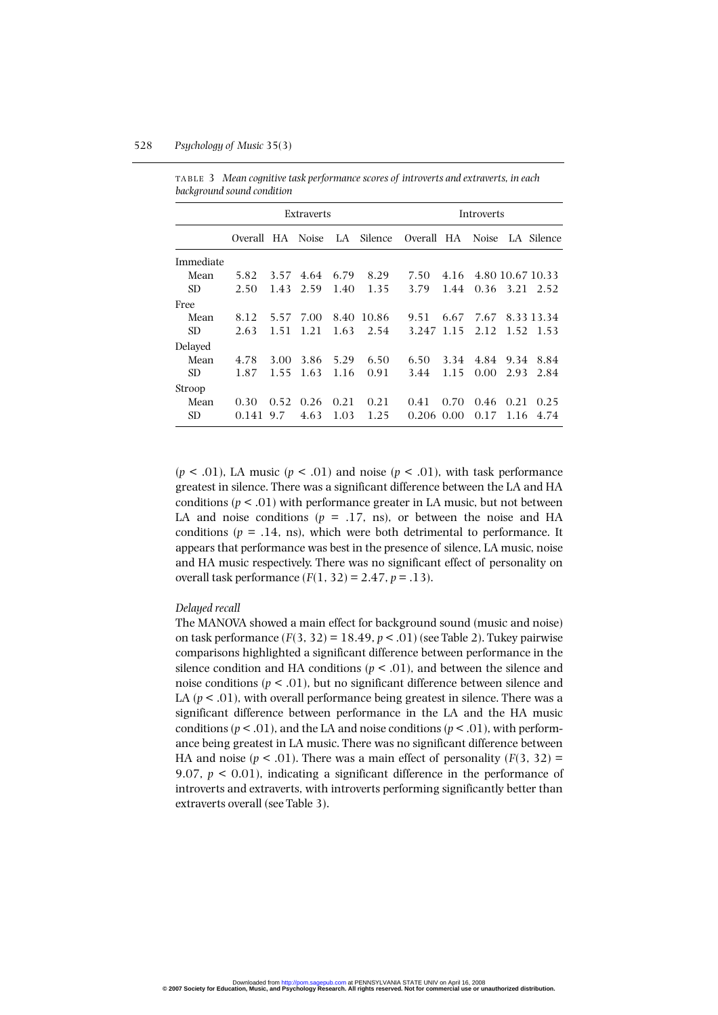#### 528 *Psychology of Music* 35(3)

|           | Extraverts       |      |      |      | Introverts |            |      |              |      |                  |
|-----------|------------------|------|------|------|------------|------------|------|--------------|------|------------------|
|           | Overall HA Noise |      |      | LA   | Silence    | Overall HA |      | <b>Noise</b> |      | LA Silence       |
| Immediate |                  |      |      |      |            |            |      |              |      |                  |
| Mean      | 5.82             | 3.57 | 4.64 | 6.79 | 8.29       | 7.50       | 4.16 |              |      | 4.80 10.67 10.33 |
| SD        | 2.50             | 1.43 | 2.59 | 1.40 | 1.35       | 3.79       | 1.44 | 0.36         | 3.21 | 2.52             |
| Free      |                  |      |      |      |            |            |      |              |      |                  |
| Mean      | 8.12             | 5.57 | 7.00 | 8.40 | 10.86      | 9.51       | 6.67 | 7.67         |      | 8.33 13.34       |
| SD        | 2.63             | 1.51 | 1.21 | 1.63 | 2.54       | 3.247      | 1.15 | 2.12         |      | 1.52 1.53        |
| Delayed   |                  |      |      |      |            |            |      |              |      |                  |
| Mean      | 4.78             | 3.00 | 3.86 | 5.29 | 6.50       | 6.50       | 3.34 | 4.84         | 9.34 | 8.84             |
| SD        | 1.87             | 1.55 | 1.63 | 1.16 | 0.91       | 3.44       | 1.15 | 0.00         | 2.93 | 2.84             |
| Stroop    |                  |      |      |      |            |            |      |              |      |                  |
| Mean      | 0.30             | 0.52 | 0.26 | 0.21 | 0.21       | 0.41       | 0.70 | 0.46         | 0.21 | 0.25             |
| SD        | 0.141            | 9.7  | 4.63 | 1.03 | 1.25       | 0.206      | 0.00 | 0.17         | 1.16 | 4.74             |

TABLE 3 *Mean cognitive task performance scores of introverts and extraverts, in each background sound condition*

 $(p < .01)$ , LA music  $(p < .01)$  and noise  $(p < .01)$ , with task performance greatest in silence. There was a significant difference between the LA and HA conditions  $(p < .01)$  with performance greater in LA music, but not between LA and noise conditions  $(p = .17, \text{ ns})$ , or between the noise and HA conditions ( $p = .14$ , ns), which were both detrimental to performance. It appears that performance was best in the presence of silence, LA music, noise and HA music respectively. There was no significant effect of personality on overall task performance  $(F(1, 32) = 2.47, p = .13)$ .

#### *Delayed recall*

The MANOVA showed a main effect for background sound (music and noise) on task performance (*F*(3, 32) = 18.49, *p* < .01) (see Table 2). Tukey pairwise comparisons highlighted a significant difference between performance in the silence condition and HA conditions ( $p < .01$ ), and between the silence and noise conditions  $(p < .01)$ , but no significant difference between silence and LA  $(p < .01)$ , with overall performance being greatest in silence. There was a significant difference between performance in the LA and the HA music conditions ( $p < .01$ ), and the LA and noise conditions ( $p < .01$ ), with performance being greatest in LA music. There was no significant difference between HA and noise ( $p < .01$ ). There was a main effect of personality ( $F(3, 32) =$ 9.07,  $p < 0.01$ ), indicating a significant difference in the performance of introverts and extraverts, with introverts performing significantly better than extraverts overall (see Table 3).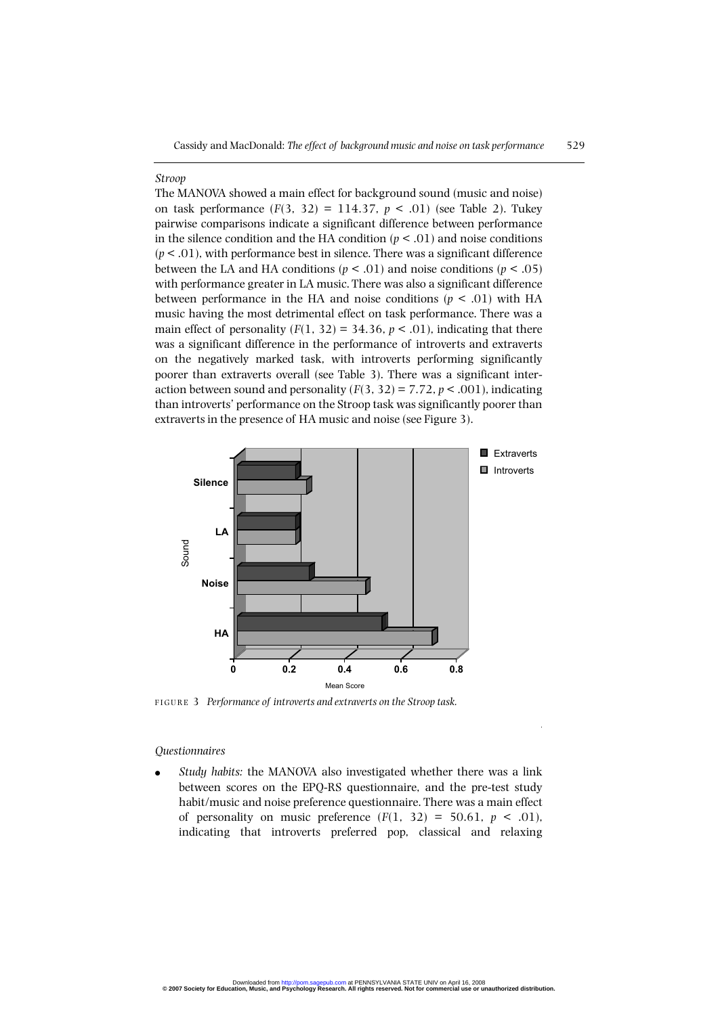#### *Stroop*

The MANOVA showed a main effect for background sound (music and noise) on task performance  $(F(3, 32) = 114.37, p < .01)$  (see Table 2). Tukey pairwise comparisons indicate a significant difference between performance in the silence condition and the HA condition  $(p < .01)$  and noise conditions  $(p < .01)$ , with performance best in silence. There was a significant difference between the LA and HA conditions ( $p < .01$ ) and noise conditions ( $p < .05$ ) with performance greater in LA music. There was also a significant difference between performance in the HA and noise conditions  $(p < .01)$  with HA music having the most detrimental effect on task performance. There was a main effect of personality  $(F(1, 32) = 34.36, p < .01)$ , indicating that there was a significant difference in the performance of introverts and extraverts on the negatively marked task, with introverts performing significantly poorer than extraverts overall (see Table 3). There was a significant interaction between sound and personality  $(F(3, 32) = 7.72, p < .001)$ , indicating than introverts' performance on the Stroop task was significantly poorer than extraverts in the presence of HA music and noise (see Figure 3).



FIGURE 3 *Performance of introverts and extraverts on the Stroop task.*

#### *Questionnaires*

*Study habits:* the MANOVA also investigated whether there was a link between scores on the EPQ-RS questionnaire, and the pre-test study habit/music and noise preference questionnaire. There was a main effect of personality on music preference  $(F(1, 32) = 50.61, p < .01)$ , indicating that introverts preferred pop, classical and relaxing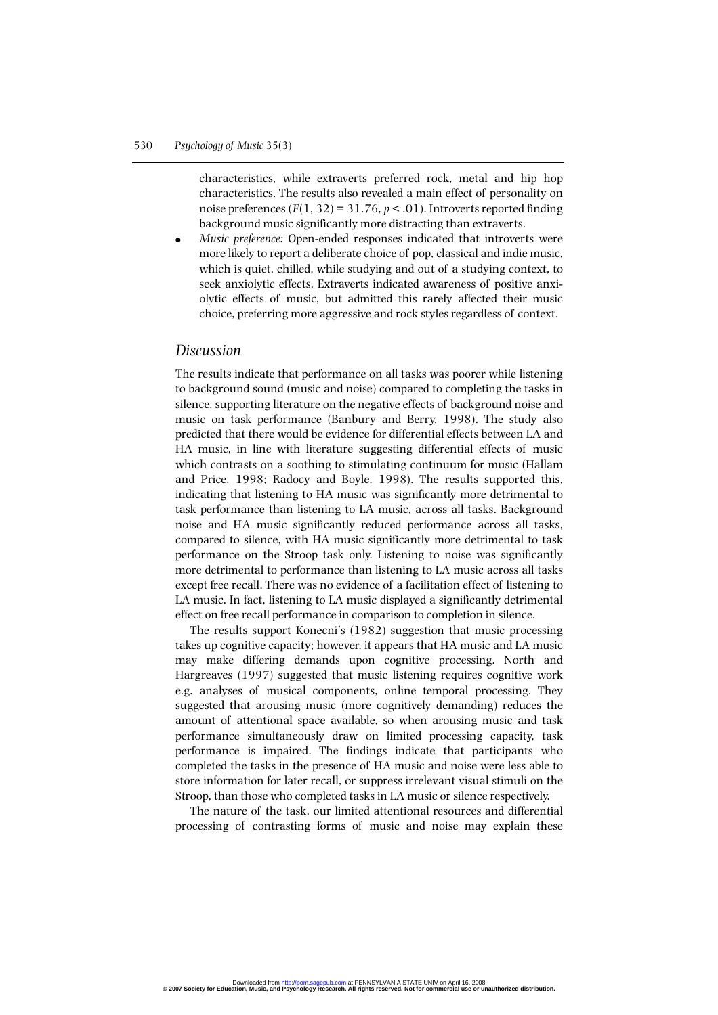characteristics, while extraverts preferred rock, metal and hip hop characteristics. The results also revealed a main effect of personality on noise preferences  $(F(1, 32) = 31.76, p < .01)$ . Introverts reported finding background music significantly more distracting than extraverts.

*Music preference:* Open-ended responses indicated that introverts were more likely to report a deliberate choice of pop, classical and indie music, which is quiet, chilled, while studying and out of a studying context, to seek anxiolytic effects. Extraverts indicated awareness of positive anxiolytic effects of music, but admitted this rarely affected their music choice, preferring more aggressive and rock styles regardless of context.

## *Discussion*

The results indicate that performance on all tasks was poorer while listening to background sound (music and noise) compared to completing the tasks in silence, supporting literature on the negative effects of background noise and music on task performance (Banbury and Berry, 1998). The study also predicted that there would be evidence for differential effects between LA and HA music, in line with literature suggesting differential effects of music which contrasts on a soothing to stimulating continuum for music (Hallam and Price, 1998; Radocy and Boyle, 1998). The results supported this, indicating that listening to HA music was significantly more detrimental to task performance than listening to LA music, across all tasks. Background noise and HA music significantly reduced performance across all tasks, compared to silence, with HA music significantly more detrimental to task performance on the Stroop task only. Listening to noise was significantly more detrimental to performance than listening to LA music across all tasks except free recall. There was no evidence of a facilitation effect of listening to LA music. In fact, listening to LA music displayed a significantly detrimental effect on free recall performance in comparison to completion in silence.

The results support Konecni's (1982) suggestion that music processing takes up cognitive capacity; however, it appears that HA music and LA music may make differing demands upon cognitive processing. North and Hargreaves (1997) suggested that music listening requires cognitive work e.g. analyses of musical components, online temporal processing. They suggested that arousing music (more cognitively demanding) reduces the amount of attentional space available, so when arousing music and task performance simultaneously draw on limited processing capacity, task performance is impaired. The findings indicate that participants who completed the tasks in the presence of HA music and noise were less able to store information for later recall, or suppress irrelevant visual stimuli on the Stroop, than those who completed tasks in LA music or silence respectively.

The nature of the task, our limited attentional resources and differential processing of contrasting forms of music and noise may explain these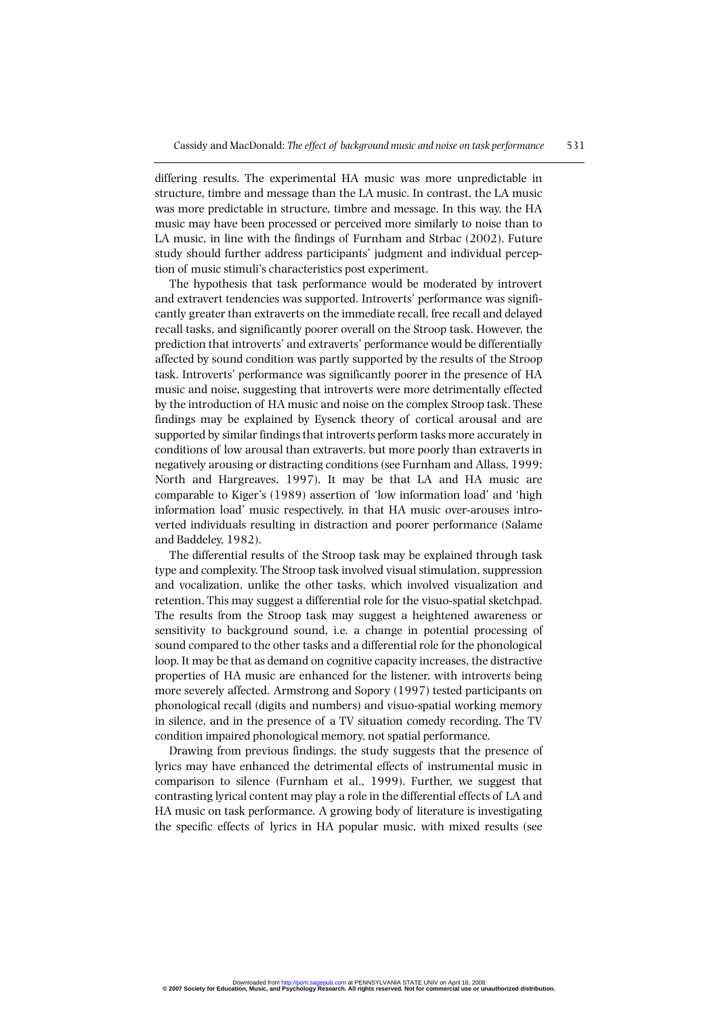differing results. The experimental HA music was more unpredictable in structure, timbre and message than the LA music. In contrast, the LA music was more predictable in structure, timbre and message. In this way, the HA music may have been processed or perceived more similarly to noise than to LA music, in line with the findings of Furnham and Strbac (2002). Future study should further address participants' judgment and individual perception of music stimuli's characteristics post experiment.

The hypothesis that task performance would be moderated by introvert and extravert tendencies was supported. Introverts' performance was significantly greater than extraverts on the immediate recall, free recall and delayed recall tasks, and significantly poorer overall on the Stroop task. However, the prediction that introverts' and extraverts' performance would be differentially affected by sound condition was partly supported by the results of the Stroop task. Introverts' performance was significantly poorer in the presence of HA music and noise, suggesting that introverts were more detrimentally effected by the introduction of HA music and noise on the complex Stroop task. These findings may be explained by Eysenck theory of cortical arousal and are supported by similar findings that introverts perform tasks more accurately in conditions of low arousal than extraverts, but more poorly than extraverts in negatively arousing or distracting conditions (see Furnham and Allass, 1999; North and Hargreaves, 1997). It may be that LA and HA music are comparable to Kiger's (1989) assertion of 'low information load' and 'high information load' music respectively, in that HA music over-arouses introverted individuals resulting in distraction and poorer performance (Salame and Baddeley, 1982).

The differential results of the Stroop task may be explained through task type and complexity. The Stroop task involved visual stimulation, suppression and vocalization, unlike the other tasks, which involved visualization and retention. This may suggest a differential role for the visuo-spatial sketchpad. The results from the Stroop task may suggest a heightened awareness or sensitivity to background sound, i.e. a change in potential processing of sound compared to the other tasks and a differential role for the phonological loop. It may be that as demand on cognitive capacity increases, the distractive properties of HA music are enhanced for the listener, with introverts being more severely affected. Armstrong and Sopory (1997) tested participants on phonological recall (digits and numbers) and visuo-spatial working memory in silence, and in the presence of a TV situation comedy recording. The TV condition impaired phonological memory, not spatial performance.

Drawing from previous findings, the study suggests that the presence of lyrics may have enhanced the detrimental effects of instrumental music in comparison to silence (Furnham et al., 1999). Further, we suggest that contrasting lyrical content may play a role in the differential effects of LA and HA music on task performance. A growing body of literature is investigating the specific effects of lyrics in HA popular music, with mixed results (see

Downloaded from<http://pom.sagepub.com>at PENNSYLVANIA STATE UNIV on April 16, 2008<br>C 2007 Society for Education, Music, and Psychology Research. All rights reserved. Not for commercial use or unauthorized distribution.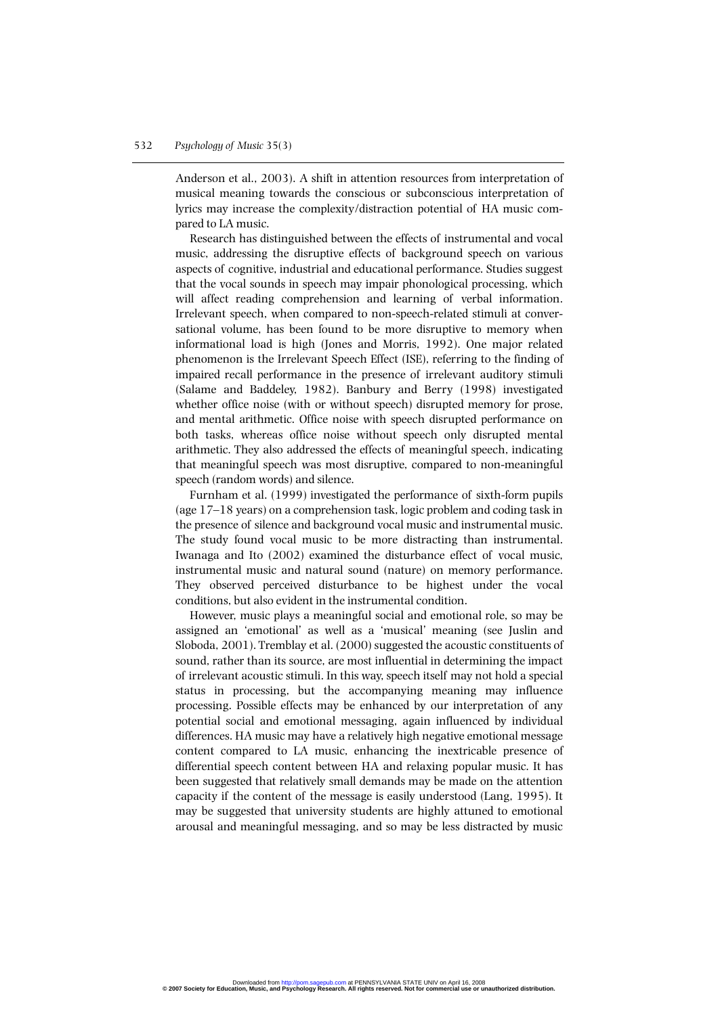Anderson et al., 2003). A shift in attention resources from interpretation of musical meaning towards the conscious or subconscious interpretation of lyrics may increase the complexity/distraction potential of HA music compared to LA music.

Research has distinguished between the effects of instrumental and vocal music, addressing the disruptive effects of background speech on various aspects of cognitive, industrial and educational performance. Studies suggest that the vocal sounds in speech may impair phonological processing, which will affect reading comprehension and learning of verbal information. Irrelevant speech, when compared to non-speech-related stimuli at conversational volume, has been found to be more disruptive to memory when informational load is high (Jones and Morris, 1992). One major related phenomenon is the Irrelevant Speech Effect (ISE), referring to the finding of impaired recall performance in the presence of irrelevant auditory stimuli (Salame and Baddeley, 1982). Banbury and Berry (1998) investigated whether office noise (with or without speech) disrupted memory for prose, and mental arithmetic. Office noise with speech disrupted performance on both tasks, whereas office noise without speech only disrupted mental arithmetic. They also addressed the effects of meaningful speech, indicating that meaningful speech was most disruptive, compared to non-meaningful speech (random words) and silence.

Furnham et al. (1999) investigated the performance of sixth-form pupils (age 17–18 years) on a comprehension task, logic problem and coding task in the presence of silence and background vocal music and instrumental music. The study found vocal music to be more distracting than instrumental. Iwanaga and Ito (2002) examined the disturbance effect of vocal music, instrumental music and natural sound (nature) on memory performance. They observed perceived disturbance to be highest under the vocal conditions, but also evident in the instrumental condition.

However, music plays a meaningful social and emotional role, so may be assigned an 'emotional' as well as a 'musical' meaning (see Juslin and Sloboda, 2001). Tremblay et al. (2000) suggested the acoustic constituents of sound, rather than its source, are most influential in determining the impact of irrelevant acoustic stimuli. In this way, speech itself may not hold a special status in processing, but the accompanying meaning may influence processing. Possible effects may be enhanced by our interpretation of any potential social and emotional messaging, again influenced by individual differences. HA music may have a relatively high negative emotional message content compared to LA music, enhancing the inextricable presence of differential speech content between HA and relaxing popular music. It has been suggested that relatively small demands may be made on the attention capacity if the content of the message is easily understood (Lang, 1995). It may be suggested that university students are highly attuned to emotional arousal and meaningful messaging, and so may be less distracted by music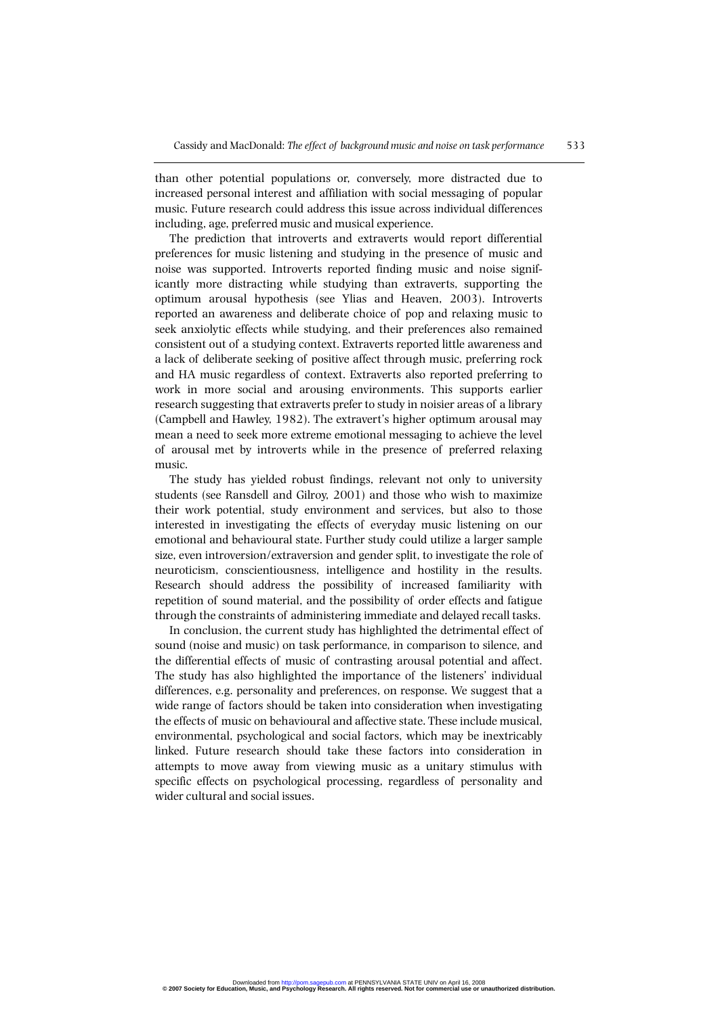than other potential populations or, conversely, more distracted due to increased personal interest and affiliation with social messaging of popular music. Future research could address this issue across individual differences including, age, preferred music and musical experience.

The prediction that introverts and extraverts would report differential preferences for music listening and studying in the presence of music and noise was supported. Introverts reported finding music and noise significantly more distracting while studying than extraverts, supporting the optimum arousal hypothesis (see Ylias and Heaven, 2003). Introverts reported an awareness and deliberate choice of pop and relaxing music to seek anxiolytic effects while studying, and their preferences also remained consistent out of a studying context. Extraverts reported little awareness and a lack of deliberate seeking of positive affect through music, preferring rock and HA music regardless of context. Extraverts also reported preferring to work in more social and arousing environments. This supports earlier research suggesting that extraverts prefer to study in noisier areas of a library (Campbell and Hawley, 1982). The extravert's higher optimum arousal may mean a need to seek more extreme emotional messaging to achieve the level of arousal met by introverts while in the presence of preferred relaxing music.

The study has yielded robust findings, relevant not only to university students (see Ransdell and Gilroy, 2001) and those who wish to maximize their work potential, study environment and services, but also to those interested in investigating the effects of everyday music listening on our emotional and behavioural state. Further study could utilize a larger sample size, even introversion/extraversion and gender split, to investigate the role of neuroticism, conscientiousness, intelligence and hostility in the results. Research should address the possibility of increased familiarity with repetition of sound material, and the possibility of order effects and fatigue through the constraints of administering immediate and delayed recall tasks.

In conclusion, the current study has highlighted the detrimental effect of sound (noise and music) on task performance, in comparison to silence, and the differential effects of music of contrasting arousal potential and affect. The study has also highlighted the importance of the listeners' individual differences, e.g. personality and preferences, on response. We suggest that a wide range of factors should be taken into consideration when investigating the effects of music on behavioural and affective state. These include musical, environmental, psychological and social factors, which may be inextricably linked. Future research should take these factors into consideration in attempts to move away from viewing music as a unitary stimulus with specific effects on psychological processing, regardless of personality and wider cultural and social issues.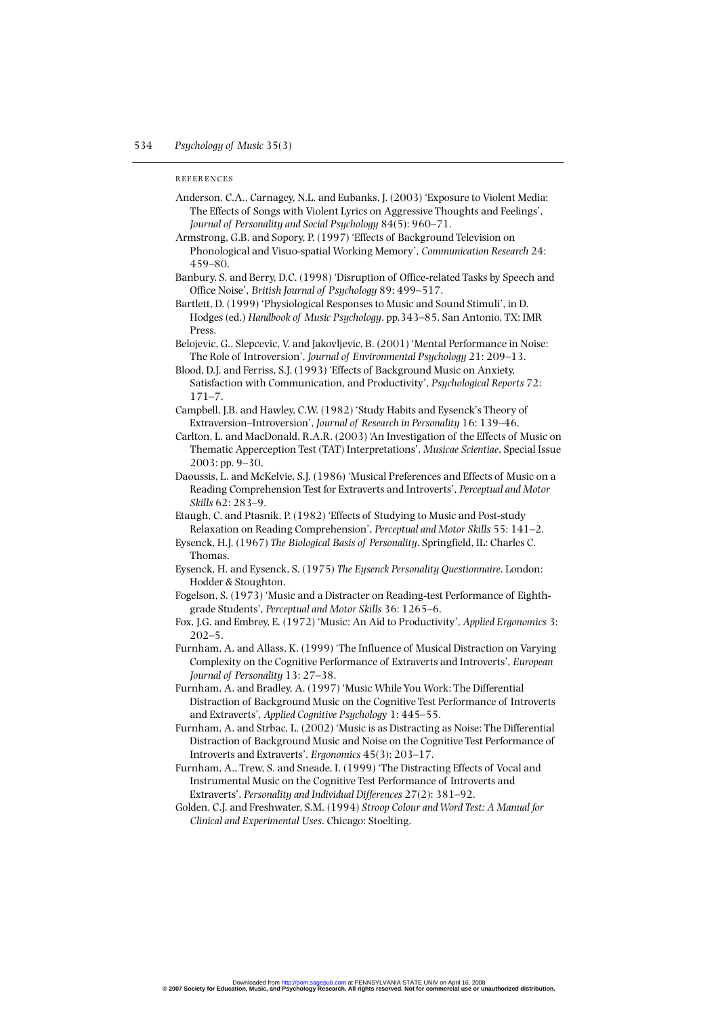#### REFERENCES

- Anderson, C.A., Carnagey, N.L. and Eubanks, J. (2003) 'Exposure to Violent Media: The Effects of Songs with Violent Lyrics on Aggressive Thoughts and Feelings', *Journal of Personality and Social Psychology* 84(5): 960–71.
- Armstrong, G.B. and Sopory, P. (1997) 'Effects of Background Television on Phonological and Visuo-spatial Working Memory', *Communication Research* 24: 459–80.
- Banbury, S. and Berry, D.C. (1998) 'Disruption of Office-related Tasks by Speech and Office Noise', *British Journal of Psychology* 89: 499–517.
- Bartlett, D. (1999) 'Physiological Responses to Music and Sound Stimuli', in D. Hodges (ed.) *Handbook of Music Psychology*, pp.343–85. San Antonio, TX: IMR Press.
- Belojevic, G., Slepcevic, V. and Jakovljevic, B. (2001) 'Mental Performance in Noise: The Role of Introversion', *Journal of Environmental Psychology* 21: 209–13.
- Blood, D.J. and Ferriss, S.J. (1993) 'Effects of Background Music on Anxiety, Satisfaction with Communication, and Productivity', *Psychological Reports* 72: 171–7.
- Campbell, J.B. and Hawley, C.W. (1982) 'Study Habits and Eysenck's Theory of Extraversion–Introversion', *Journal of Research in Personality* 16: 139–46.
- Carlton, L. and MacDonald, R.A.R. (2003) 'An Investigation of the Effects of Music on Thematic Apperception Test (TAT) Interpretations', *Musicae Scientiae*, Special Issue 2003: pp. 9–30.
- Daoussis, L. and McKelvie, S.J. (1986) 'Musical Preferences and Effects of Music on a Reading Comprehension Test for Extraverts and Introverts', *Perceptual and Motor Skills* 62: 283–9.
- Etaugh, C. and Ptasnik, P. (1982) 'Effects of Studying to Music and Post-study Relaxation on Reading Comprehension', *Perceptual and Motor Skills* 55: 141–2.
- Eysenck, H.J. (1967) *The Biological Basis of Personality*. Springfield, IL: Charles C. Thomas.
- Eysenck, H. and Eysenck, S. (1975) *The Eysenck Personality Questionnaire*. London: Hodder & Stoughton.
- Fogelson, S. (1973) 'Music and a Distracter on Reading-test Performance of Eighthgrade Students', *Perceptual and Motor Skills* 36: 1265–6.
- Fox, J.G. and Embrey, E. (1972) 'Music: An Aid to Productivity', *Applied Ergonomics* 3: 202–5.
- Furnham, A. and Allass, K. (1999) 'The Influence of Musical Distraction on Varying Complexity on the Cognitive Performance of Extraverts and Introverts', *European Journal of Personality* 13: 27–38.
- Furnham, A. and Bradley, A. (1997) 'Music While You Work: The Differential Distraction of Background Music on the Cognitive Test Performance of Introverts and Extraverts', *Applied Cognitive Psycholog*y 1: 445–55.
- Furnham, A. and Strbac, L. (2002) 'Music is as Distracting as Noise: The Differential Distraction of Background Music and Noise on the Cognitive Test Performance of Introverts and Extraverts', *Ergonomics* 45(3): 203–17.
- Furnham, A., Trew, S. and Sneade, I. (1999) 'The Distracting Effects of Vocal and Instrumental Music on the Cognitive Test Performance of Introverts and Extraverts', *Personality and Individual Differences* 27(2): 381–92.
- Golden, C.J. and Freshwater, S.M. (1994) *Stroop Colour and Word Test: A Manual for Clinical and Experimental Uses*. Chicago: Stoelting.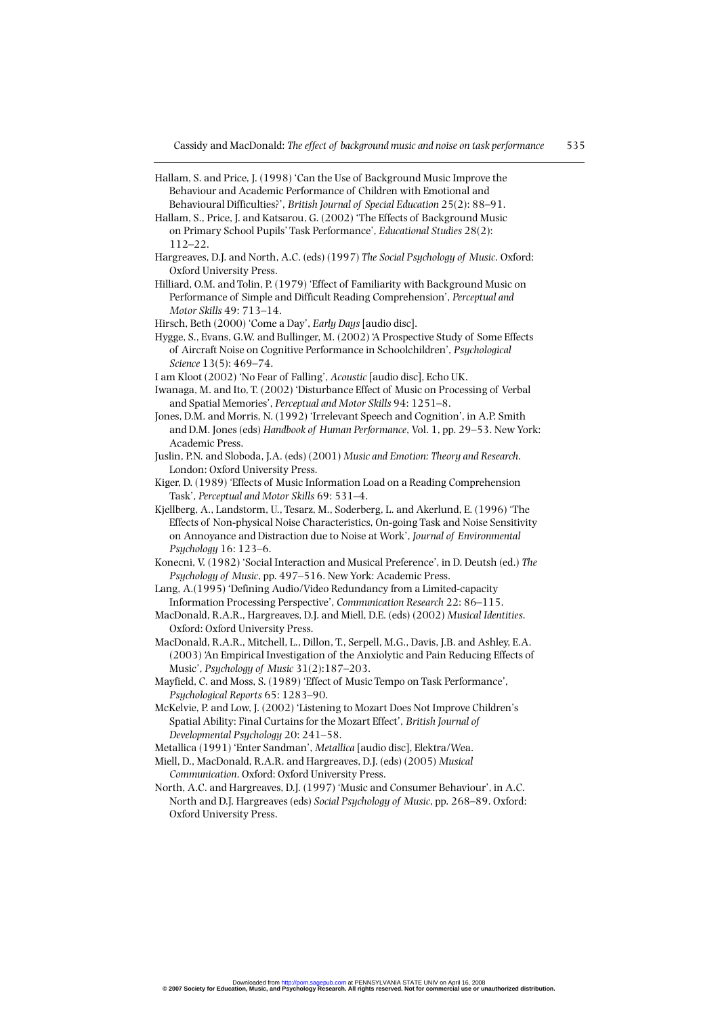- Hallam, S. and Price, J. (1998) 'Can the Use of Background Music Improve the Behaviour and Academic Performance of Children with Emotional and Behavioural Difficulties?', *British Journal of Special Education* 25(2): 88–91.
- Hallam, S., Price, J. and Katsarou, G. (2002) 'The Effects of Background Music on Primary School Pupils' Task Performance', *Educational Studies* 28(2): 112–22.
- Hargreaves, D.J. and North, A.C. (eds) (1997) *The Social Psychology of Music*. Oxford: Oxford University Press.
- Hilliard, O.M. and Tolin, P. (1979) 'Effect of Familiarity with Background Music on Performance of Simple and Difficult Reading Comprehension', *Perceptual and Motor Skills* 49: 713–14.
- Hirsch, Beth (2000) 'Come a Day', *Early Days* [audio disc].
- Hygge, S., Evans, G.W. and Bullinger, M. (2002) 'A Prospective Study of Some Effects of Aircraft Noise on Cognitive Performance in Schoolchildren', *Psychological Science* 13(5): 469–74.
- I am Kloot (2002) 'No Fear of Falling', *Acoustic* [audio disc], Echo UK.
- Iwanaga, M. and Ito, T. (2002) 'Disturbance Effect of Music on Processing of Verbal and Spatial Memories', *Perceptual and Motor Skills* 94: 1251–8.
- Jones, D.M. and Morris, N. (1992) 'Irrelevant Speech and Cognition', in A.P. Smith and D.M. Jones (eds) *Handbook of Human Performance*, Vol. 1, pp. 29–53. New York: Academic Press.
- Juslin, P.N. and Sloboda, J.A. (eds) (2001) *Music and Emotion: Theory and Research*. London: Oxford University Press.
- Kiger, D. (1989) 'Effects of Music Information Load on a Reading Comprehension Task', *Perceptual and Motor Skills* 69: 531–4.
- Kjellberg, A., Landstorm, U., Tesarz, M., Soderberg, L. and Akerlund, E. (1996) 'The Effects of Non-physical Noise Characteristics, On-going Task and Noise Sensitivity on Annoyance and Distraction due to Noise at Work', *Journal of Environmental Psychology* 16: 123–6.
- Konecni, V. (1982) 'Social Interaction and Musical Preference', in D. Deutsh (ed.) *The Psychology of Music*, pp. 497–516. New York: Academic Press.
- Lang, A.(1995) 'Defining Audio/Video Redundancy from a Limited-capacity Information Processing Perspective', *Communication Research* 22: 86–115.
- MacDonald, R.A.R., Hargreaves, D.J. and Miell, D.E. (eds) (2002) *Musical Identities*. Oxford: Oxford University Press.
- MacDonald, R.A.R., Mitchell, L., Dillon, T., Serpell, M.G., Davis, J.B. and Ashley, E.A. (2003) 'An Empirical Investigation of the Anxiolytic and Pain Reducing Effects of Music', *Psychology of Music* 31(2):187–203.
- Mayfield, C. and Moss, S. (1989) 'Effect of Music Tempo on Task Performance', *Psychological Reports* 65: 1283–90.
- McKelvie, P. and Low, J. (2002) 'Listening to Mozart Does Not Improve Children's Spatial Ability: Final Curtains for the Mozart Effect', *British Journal of Developmental Psychology* 20: 241–58.
- Metallica (1991) 'Enter Sandman', *Metallica* [audio disc], Elektra/Wea.
- Miell, D., MacDonald, R.A.R. and Hargreaves, D.J. (eds) (2005) *Musical Communication*. Oxford: Oxford University Press.
- North, A.C. and Hargreaves, D.J. (1997) 'Music and Consumer Behaviour', in A.C. North and D.J. Hargreaves (eds) *Social Psychology of Music*, pp. 268–89. Oxford: Oxford University Press.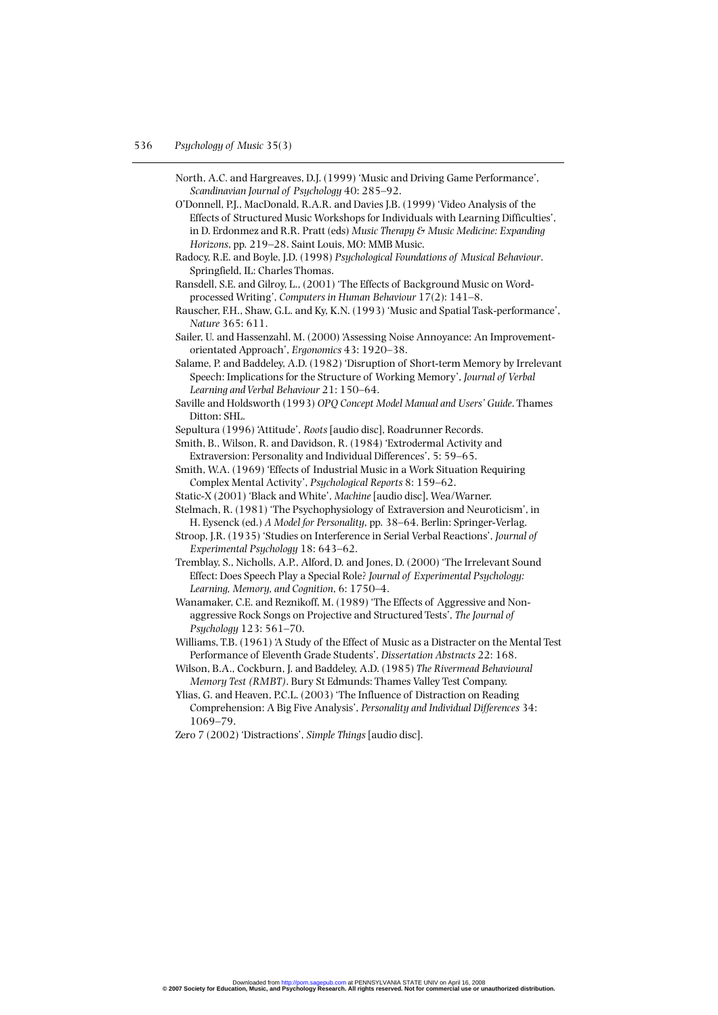North, A.C. and Hargreaves, D.J. (1999) 'Music and Driving Game Performance', *Scandinavian Journal of Psychology* 40: 285–92.

- O'Donnell, P.J., MacDonald, R.A.R. and Davies J.B. (1999) 'Video Analysis of the Effects of Structured Music Workshops for Individuals with Learning Difficulties', in D. Erdonmez and R.R. Pratt (eds) *Music Therapy & Music Medicine: Expanding Horizons*, pp. 219–28. Saint Louis, MO: MMB Music.
- Radocy, R.E. and Boyle, J.D. (1998) *Psychological Foundations of Musical Behaviour*. Springfield, IL: Charles Thomas.

Ransdell, S.E. and Gilroy, L., (2001) 'The Effects of Background Music on Wordprocessed Writing', *Computers in Human Behaviour* 17(2): 141–8.

Rauscher, F.H., Shaw, G.L. and Ky, K.N. (1993) 'Music and Spatial Task-performance', *Nature* 365: 611.

Sailer, U. and Hassenzahl, M. (2000) 'Assessing Noise Annoyance: An Improvementorientated Approach', *Ergonomics* 43: 1920–38.

Saville and Holdsworth (1993) *OPQ Concept Model Manual and Users' Guide*. Thames Ditton: SHL.

Sepultura (1996) 'Attitude', *Roots* [audio disc], Roadrunner Records.

Smith, B., Wilson, R. and Davidson, R. (1984) 'Extrodermal Activity and Extraversion: Personality and Individual Differences', 5: 59–65.

Smith, W.A. (1969) 'Effects of Industrial Music in a Work Situation Requiring Complex Mental Activity', *Psychological Reports* 8: 159–62.

Static-X (2001) 'Black and White', *Machine* [audio disc], Wea/Warner.

Stelmach, R. (1981) 'The Psychophysiology of Extraversion and Neuroticism', in H. Eysenck (ed.) *A Model for Personality*, pp. 38–64. Berlin: Springer-Verlag.

Stroop, J.R. (1935) 'Studies on Interference in Serial Verbal Reactions', *Journal of Experimental Psychology* 18: 643–62.

Tremblay, S., Nicholls, A.P., Alford, D. and Jones, D. (2000) 'The Irrelevant Sound Effect: Does Speech Play a Special Role? *Journal of Experimental Psychology: Learning, Memory, and Cognition*, 6: 1750–4.

Wanamaker, C.E. and Reznikoff, M. (1989) 'The Effects of Aggressive and Nonaggressive Rock Songs on Projective and Structured Tests', *The Journal of Psychology* 123: 561–70.

Williams, T.B. (1961) 'A Study of the Effect of Music as a Distracter on the Mental Test Performance of Eleventh Grade Students', *Dissertation Abstracts* 22: 168.

Wilson, B.A., Cockburn, J. and Baddeley, A.D. (1985) *The Rivermead Behavioural Memory Test (RMBT)*. Bury St Edmunds: Thames Valley Test Company.

Ylias, G. and Heaven, P.C.L. (2003) 'The Influence of Distraction on Reading Comprehension: A Big Five Analysis', *Personality and Individual Differences* 34: 1069–79.

Zero 7 (2002) 'Distractions', *Simple Things* [audio disc].

Salame, P. and Baddeley, A.D. (1982) 'Disruption of Short-term Memory by Irrelevant Speech: Implications for the Structure of Working Memory', *Journal of Verbal Learning and Verbal Behaviour* 21: 150–64.